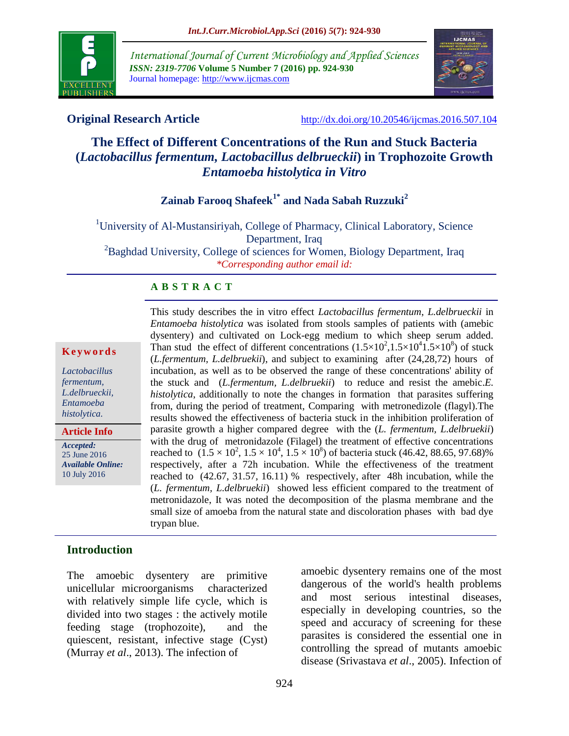

*International Journal of Current Microbiology and Applied Sciences ISSN: 2319-7706* **Volume 5 Number 7 (2016) pp. 924-930** Journal homepage: http://www.ijcmas.com



**Original Research Article** <http://dx.doi.org/10.20546/ijcmas.2016.507.104>

# **The Effect of Different Concentrations of the Run and Stuck Bacteria (***Lactobacillus fermentum, Lactobacillus delbrueckii***) in Trophozoite Growth**  *Entamoeba histolytica in Vitro*

## **Zainab Farooq Shafeek1\* and Nada Sabah Ruzzuki<sup>2</sup>**

<sup>1</sup>University of Al-Mustansiriyah, College of Pharmacy, Clinical Laboratory, Science Department, Iraq  ${}^{2}$ Baghdad University, College of sciences for Women, Biology Department, Iraq

*\*Corresponding author email id:*

#### **A B S T R A C T**

#### **K e y w o r d s**

*Lactobacillus fermentum, L.delbrueckii, Entamoeba histolytica.*

**Article Info**

*Accepted:*  25 June 2016 *Available Online:* 10 July 2016

This study describes the in vitro effect *Lactobacillus fermentum*, *L.delbrueckii* in *Entamoeba histolytica* was isolated from stools samples of patients with (amebic dysentery) and cultivated on Lock-egg medium to which sheep serum added. Than stud the effect of different concentrations  $(1.5 \times 10^2, 1.5 \times 10^4, 1.5 \times 10^8)$  of stuck (*L.fermentum, L.delbruekii*), and subject to examining after (24,28,72) hours of incubation, as well as to be observed the range of these concentrations' ability of the stuck and (*L.fermentum, L.delbruekii*) to reduce and resist the amebic.*E. histolytica*, additionally to note the changes in formation that parasites suffering from, during the period of treatment, Comparing with metronedizole (flagyl).The results showed the effectiveness of bacteria stuck in the inhibition proliferation of parasite growth a higher compared degree with the (*L. fermentum, L.delbruekii*) with the drug of metronidazole (Filagel) the treatment of effective concentrations reached to  $(1.5 \times 10^2, 1.5 \times 10^4, 1.5 \times 10^8)$  of bacteria stuck (46.42, 88.65, 97.68)% respectively, after a 72h incubation. While the effectiveness of the treatment reached to (42.67, 31.57, 16.11) % respectively, after 48h incubation, while the (*L. fermentum, L.delbruekii*) showed less efficient compared to the treatment of metronidazole, It was noted the decomposition of the plasma membrane and the small size of amoeba from the natural state and discoloration phases with bad dye trypan blue.

#### **Introduction**

The amoebic dysentery are primitive unicellular microorganisms characterized with relatively simple life cycle, which is divided into two stages : the actively motile feeding stage (trophozoite), and the quiescent, resistant, infective stage (Cyst) (Murray *et al*., 2013). The infection of

amoebic dysentery remains one of the most dangerous of the world's health problems and most serious intestinal diseases, especially in developing countries, so the speed and accuracy of screening for these parasites is considered the essential one in controlling the spread of mutants amoebic disease (Srivastava *et al*., 2005). Infection of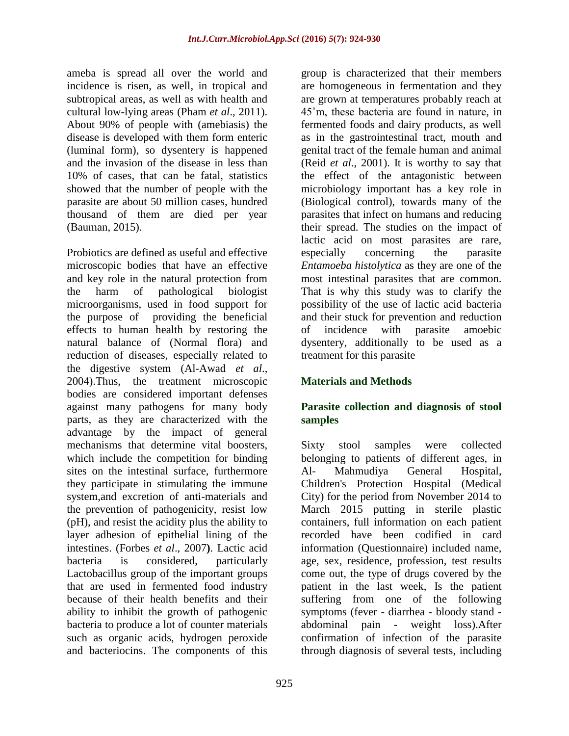ameba is spread all over the world and incidence is risen, as well, in tropical and subtropical areas, as well as with health and cultural low-lying areas (Pham *et al*., 2011). About 90% of people with (amebiasis) the disease is developed with them form enteric (luminal form), so dysentery is happened and the invasion of the disease in less than 10% of cases, that can be fatal, statistics showed that the number of people with the parasite are about 50 million cases, hundred thousand of them are died per year (Bauman, 2015).

Probiotics are defined as useful and effective microscopic bodies that have an effective and key role in the natural protection from the harm of pathological biologist microorganisms, used in food support for the purpose of providing the beneficial effects to human health by restoring the natural balance of (Normal flora) and reduction of diseases, especially related to the digestive system (Al-Awad *et al*., 2004).Thus, the treatment microscopic bodies are considered important defenses against many pathogens for many body parts, as they are characterized with the advantage by the impact of general mechanisms that determine vital boosters, which include the competition for binding sites on the intestinal surface, furthermore they participate in stimulating the immune system,and excretion of anti-materials and the prevention of pathogenicity, resist low (pH), and resist the acidity plus the ability to layer adhesion of epithelial lining of the intestines. (Forbes *et al*., 2007**)**. Lactic acid bacteria is considered, particularly Lactobacillus group of the important groups that are used in fermented food industry because of their health benefits and their ability to inhibit the growth of pathogenic bacteria to produce a lot of counter materials such as organic acids, hydrogen peroxide and bacteriocins. The components of this

group is characterized that their members are homogeneous in fermentation and they are grown at temperatures probably reach at 45˚m, these bacteria are found in nature, in fermented foods and dairy products, as well as in the gastrointestinal tract, mouth and genital tract of the female human and animal (Reid *et al*., 2001). It is worthy to say that the effect of the antagonistic between microbiology important has a key role in (Biological control), towards many of the parasites that infect on humans and reducing their spread. The studies on the impact of lactic acid on most parasites are rare, especially concerning the parasite *Entamoeba histolytica* as they are one of the most intestinal parasites that are common. That is why this study was to clarify the possibility of the use of lactic acid bacteria and their stuck for prevention and reduction of incidence with parasite amoebic dysentery, additionally to be used as a treatment for this parasite

## **Materials and Methods**

## **Parasite collection and diagnosis of stool samples**

Sixty stool samples were collected belonging to patients of different ages, in Al- Mahmudiya General Hospital, Children's Protection Hospital (Medical City) for the period from November 2014 to March 2015 putting in sterile plastic containers, full information on each patient recorded have been codified in card information (Questionnaire) included name, age, sex, residence, profession, test results come out, the type of drugs covered by the patient in the last week, Is the patient suffering from one of the following symptoms (fever - diarrhea - bloody stand abdominal pain - weight loss).After confirmation of infection of the parasite through diagnosis of several tests, including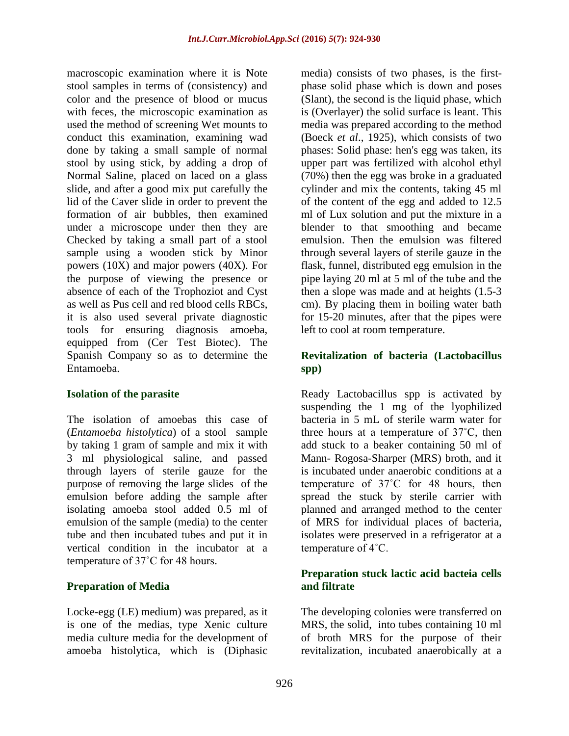macroscopic examination where it is Note stool samples in terms of (consistency) and color and the presence of blood or mucus with feces, the microscopic examination as used the method of screening Wet mounts to conduct this examination, examining wad done by taking a small sample of normal stool by using stick, by adding a drop of Normal Saline, placed on laced on a glass slide, and after a good mix put carefully the lid of the Caver slide in order to prevent the formation of air bubbles, then examined under a microscope under then they are Checked by taking a small part of a stool sample using a wooden stick by Minor powers (10X) and major powers (40X). For the purpose of viewing the presence or absence of each of the Trophoziot and Cyst as well as Pus cell and red blood cells RBCs, it is also used several private diagnostic tools for ensuring diagnosis amoeba, equipped from (Cer Test Biotec). The Spanish Company so as to determine the Entamoeba.

#### **Isolation of the parasite**

The isolation of amoebas this case of (*Entamoeba histolytica*) of a stool sample by taking 1 gram of sample and mix it with 3 ml physiological saline, and passed through layers of sterile gauze for the purpose of removing the large slidesof the emulsion before adding the sample after isolating amoeba stool added 0.5 ml of emulsion of the sample (media) to the center tube and then incubated tubes and put it in vertical condition in the incubator at a temperature of 37˚C for 48 hours.

#### **Preparation of Media**

Locke-egg (LE) medium) was prepared, as it is one of the medias, type Xenic culture media culture media for the development of amoeba histolytica, which is (Diphasic

media) consists of two phases, is the firstphase solid phase which is down and poses (Slant), the second is the liquid phase, which is (Overlayer) the solid surface is leant. This media was prepared according to the method (Boeck *et al*., 1925), which consists of two phases: Solid phase: hen's egg was taken, its upper part was fertilized with alcohol ethyl (70%) then the egg was broke in a graduated cylinder and mix the contents, taking 45 ml of the content of the egg and added to 12.5 ml of Lux solution and put the mixture in a blender to that smoothing and became emulsion. Then the emulsion was filtered through several layers of sterile gauze in the flask, funnel, distributed egg emulsion in the pipe laying 20 ml at 5 ml of the tube and the then a slope was made and at heights (1.5-3 cm). By placing them in boiling water bath for 15-20 minutes, after that the pipes were left to cool at room temperature.

## **Revitalization of bacteria (Lactobacillus spp)**

Ready Lactobacillus spp is activated by suspending the 1 mg of the lyophilized bacteria in 5 mL of sterile warm water for three hours at a temperature of 37˚C, then add stuck to a beaker containing 50 ml of Mann- Rogosa-Sharper (MRS) broth, and it is incubated under anaerobic conditions at a temperature of 37˚C for 48 hours, then spread the stuck by sterile carrier with planned and arranged method to the center of MRS for individual places of bacteria, isolates were preserved in a refrigerator at a temperature of 4˚C.

#### **Preparation stuck lactic acid bacteia cells and filtrate**

The developing colonies were transferred on MRS, the solid, into tubes containing 10 ml of broth MRS for the purpose of their revitalization, incubated anaerobically at a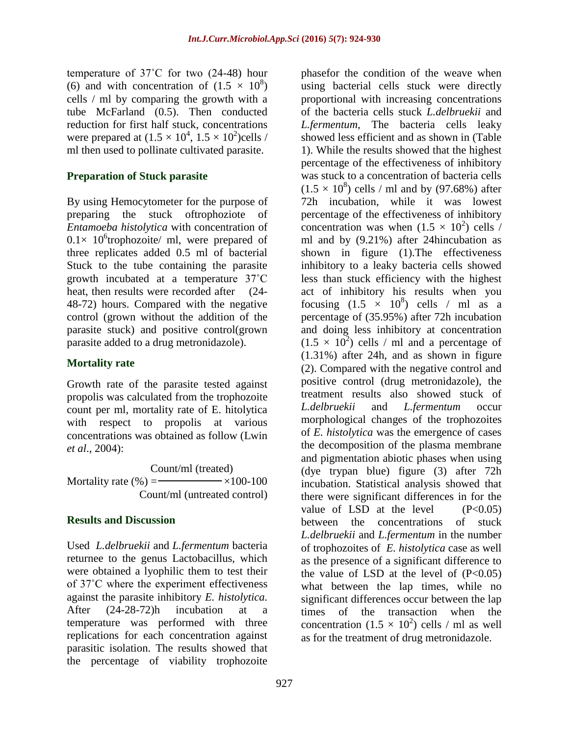temperature of 37˚C for two (24-48) hour (6) and with concentration of  $(1.5 \times 10^8)$ cells / ml by comparing the growth with a tube McFarland (0.5). Then conducted reduction for first half stuck, concentrations were prepared at  $(1.5 \times 10^4, 1.5 \times 10^2)$ cells / ml then used to pollinate cultivated parasite.

### **Preparation of Stuck parasite**

By using Hemocytometer for the purpose of preparing the stuck oftrophoziote of *Entamoeba histolytica* with concentration of  $0.1 \times 10^6$ trophozoite/ ml, were prepared of three replicates added 0.5 ml of bacterial Stuck to the tube containing the parasite growth incubated at a temperature 37˚C heat, then results were recorded after(24- 48-72) hours. Compared with the negative control (grown without the addition of the parasite stuck) and positive control(grown parasite added to a drug metronidazole).

#### **Mortality rate**

Growth rate of the parasite tested against propolis was calculated from the trophozoite count per ml, mortality rate of E. hitolytica with respect to propolis at various concentrations was obtained as follow (Lwin *et al*., 2004):

Count/ml (treated) Mortality rate  $(\% ) =$   $\frac{\qquad \qquad }{\qquad \qquad } \times 100-100$ Count/ml (untreated control)

#### **Results and Discussion**

Used *L.delbruekii* and *L.fermentum* bacteria returnee to the genus Lactobacillus, which were obtained a lyophilic them to test their of 37˚C where the experiment effectiveness against the parasite inhibitory *E. histolytica.* After (24-28-72)h incubation at a temperature was performed with three replications for each concentration against parasitic isolation. The results showed that the percentage of viability trophozoite

phasefor the condition of the weave when using bacterial cells stuck were directly proportional with increasing concentrations of the bacteria cells stuck *L.delbruekii* and *L.fermentum*, The bacteria cells leaky showed less efficient and as shown in (Table 1). While the results showed that the highest percentage of the effectiveness of inhibitory was stuck to a concentration of bacteria cells  $(1.5 \times 10^8)$  cells / ml and by (97.68%) after 72h incubation, while it was lowest percentage of the effectiveness of inhibitory concentration was when  $(1.5 \times 10^2)$  cells / ml and by (9.21%) after 24hincubation as shown in figure (1).The effectiveness inhibitory to a leaky bacteria cells showed less than stuck efficiency with the highest act of inhibitory his results when you focusing  $(1.5 \times 10^8)$  cells / ml as a percentage of (35.95%) after 72h incubation and doing less inhibitory at concentration  $(1.5 \times 10^2)$  cells / ml and a percentage of (1.31%) after 24h, and as shown in figure (2). Compared with the negative control and positive control (drug metronidazole), the treatment results also showed stuck of *L.delbruekii* and *L.fermentum* occur morphological changes of the trophozoites of *E. histolytica* was the emergence of cases the decomposition of the plasma membrane and pigmentation abiotic phases when using (dye trypan blue) figure (3) after 72h incubation. Statistical analysis showed that there were significant differences in for the value of LSD at the level  $(P<0.05)$ between the concentrations of stuck *L.delbruekii* and *L.fermentum* in the number of trophozoites of *E. histolytica* case as well as the presence of a significant difference to the value of LSD at the level of  $(P<0.05)$ what between the lap times, while no significant differences occur between the lap times of the transaction when the concentration  $(1.5 \times 10^2)$  cells / ml as well as for the treatment of drug metronidazole.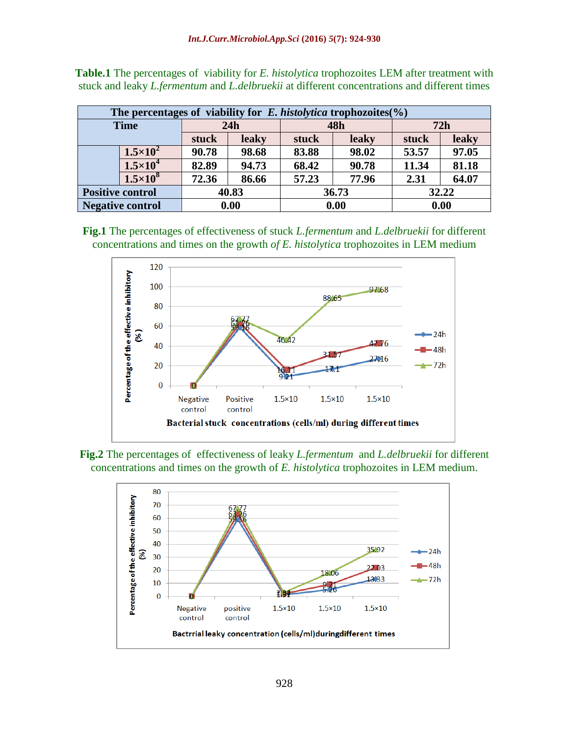| The percentages of viability for E. histolytica trophozoites( $\%$ ) |                     |       |              |       |       |       |       |
|----------------------------------------------------------------------|---------------------|-------|--------------|-------|-------|-------|-------|
| <b>Time</b>                                                          |                     | 24h   |              | 48h   |       | 72h   |       |
|                                                                      |                     | stuck | <b>leaky</b> | stuck | leaky | stuck | leaky |
|                                                                      | $1.5 \times 10^{2}$ | 90.78 | 98.68        | 83.88 | 98.02 | 53.57 | 97.05 |
|                                                                      | $1.5 \times 10^4$   | 82.89 | 94.73        | 68.42 | 90.78 | 11.34 | 81.18 |
|                                                                      | $1.5 \times 10^8$   | 72.36 | 86.66        | 57.23 | 77.96 | 2.31  | 64.07 |
| <b>Positive control</b>                                              |                     | 40.83 |              | 36.73 |       | 32.22 |       |
| <b>Negative control</b>                                              |                     | 0.00  |              | 0.00  |       | 0.00  |       |

**Table.1** The percentages of viability for *E. histolytica* trophozoites LEM after treatment with stuck and leaky *L.fermentum* and *L.delbruekii* at different concentrations and different times

**Fig.1** The percentages of effectiveness of stuck *L.fermentum* and *L.delbruekii* for different concentrations and times on the growth *of E. histolytica* trophozoites in LEM medium



**Fig.2** The percentages of effectiveness of leaky *L.fermentum* and *L.delbruekii* for different concentrations and times on the growth of *E. histolytica* trophozoites in LEM medium.

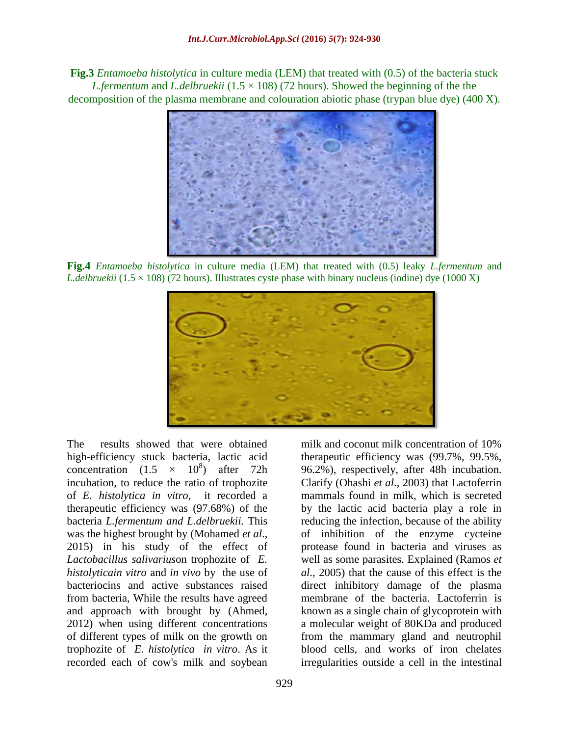**Fig.3** *Entamoeba histolytica* in culture media (LEM) that treated with (0.5) of the bacteria stuck *L.fermentum* and *L.delbruekii*  $(1.5 \times 108)$  (72 hours). Showed the beginning of the the decomposition of the plasma membrane and colouration abiotic phase (trypan blue dye) (400 X).



**Fig.4** *Entamoeba histolytica* in culture media (LEM) that treated with (0.5) leaky *L.fermentum* and *L.delbruekii*  $(1.5 \times 108)$  (72 hours). Illustrates cyste phase with binary nucleus (iodine) dye (1000 X)



The results showed that were obtained high-efficiency stuck bacteria, lactic acid concentration  $(1.5 \times 10^8)$  after 72h incubation, to reduce the ratio of trophozite of *E. histolytica in vitro*, it recorded a therapeutic efficiency was (97.68%) of the bacteria *L.fermentum and L.delbruekii.* This was the highest brought by (Mohamed *et al*., 2015) in his study of the effect of *Lactobacillus salivarius*on trophozite of *E. histolyticain vitro* and *in vivo* by the use of bacteriocins and active substances raised from bacteria, While the results have agreed and approach with brought by (Ahmed, 2012) when using different concentrations of different types of milk on the growth on trophozite of *E. histolytica in vitro*. As it recorded each of cow's milk and soybean

milk and coconut milk concentration of 10% therapeutic efficiency was (99.7%, 99.5%, 96.2%), respectively, after 48h incubation. Clarify (Ohashi *et al*., 2003) that Lactoferrin mammals found in milk, which is secreted by the lactic acid bacteria play a role in reducing the infection, because of the ability of inhibition of the enzyme cycteine protease found in bacteria and viruses as well as some parasites. Explained (Ramos *et al*., 2005) that the cause of this effect is the direct inhibitory damage of the plasma membrane of the bacteria. Lactoferrin is known as a single chain of glycoprotein with a molecular weight of 80KDa and produced from the mammary gland and neutrophil blood cells, and works of iron chelates irregularities outside a cell in the intestinal